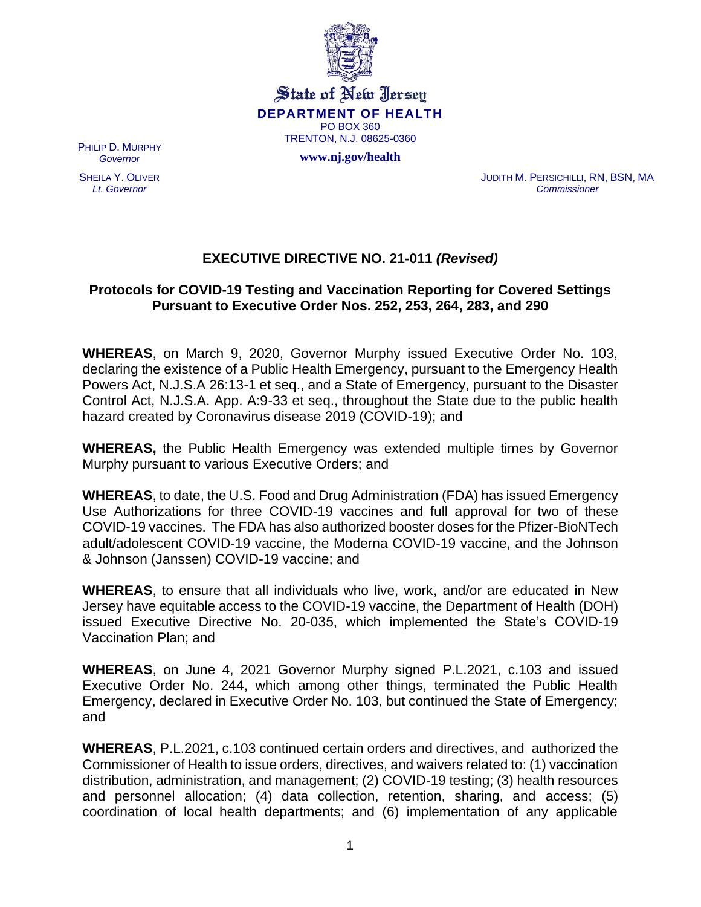

State of New Jersey **DEPARTMENT OF HEALTH** PO BOX 360 TRENTON, N.J. 08625-0360 **www.nj.gov/health**

PHILIP D. MURPHY *Governor*

SHEILA Y. OLIVER *Lt. Governor*

JUDITH M. PERSICHILLI, RN, BSN, MA *Commissioner*

# **EXECUTIVE DIRECTIVE NO. 21-011** *(Revised)*

## **Protocols for COVID-19 Testing and Vaccination Reporting for Covered Settings Pursuant to Executive Order Nos. 252, 253, 264, 283, and 290**

**WHEREAS**, on March 9, 2020, Governor Murphy issued Executive Order No. 103, declaring the existence of a Public Health Emergency, pursuant to the Emergency Health Powers Act, N.J.S.A 26:13-1 et seq., and a State of Emergency, pursuant to the Disaster Control Act, N.J.S.A. App. A:9-33 et seq., throughout the State due to the public health hazard created by Coronavirus disease 2019 (COVID-19); and

**WHEREAS,** the Public Health Emergency was extended multiple times by Governor Murphy pursuant to various Executive Orders; and

**WHEREAS**, to date, the U.S. Food and Drug Administration (FDA) has issued Emergency Use Authorizations for three COVID-19 vaccines and full approval for two of these COVID-19 vaccines. The FDA has also authorized booster doses for the Pfizer-BioNTech adult/adolescent COVID-19 vaccine, the Moderna COVID-19 vaccine, and the Johnson & Johnson (Janssen) COVID-19 vaccine; and

**WHEREAS**, to ensure that all individuals who live, work, and/or are educated in New Jersey have equitable access to the COVID-19 vaccine, the Department of Health (DOH) issued Executive Directive No. 20-035, which implemented the State's COVID-19 Vaccination Plan; and

**WHEREAS**, on June 4, 2021 Governor Murphy signed P.L.2021, c.103 and issued Executive Order No. 244, which among other things, terminated the Public Health Emergency, declared in Executive Order No. 103, but continued the State of Emergency; and

**WHEREAS**, P.L.2021, c.103 continued certain orders and directives, and authorized the Commissioner of Health to issue orders, directives, and waivers related to: (1) vaccination distribution, administration, and management; (2) COVID-19 testing; (3) health resources and personnel allocation; (4) data collection, retention, sharing, and access; (5) coordination of local health departments; and (6) implementation of any applicable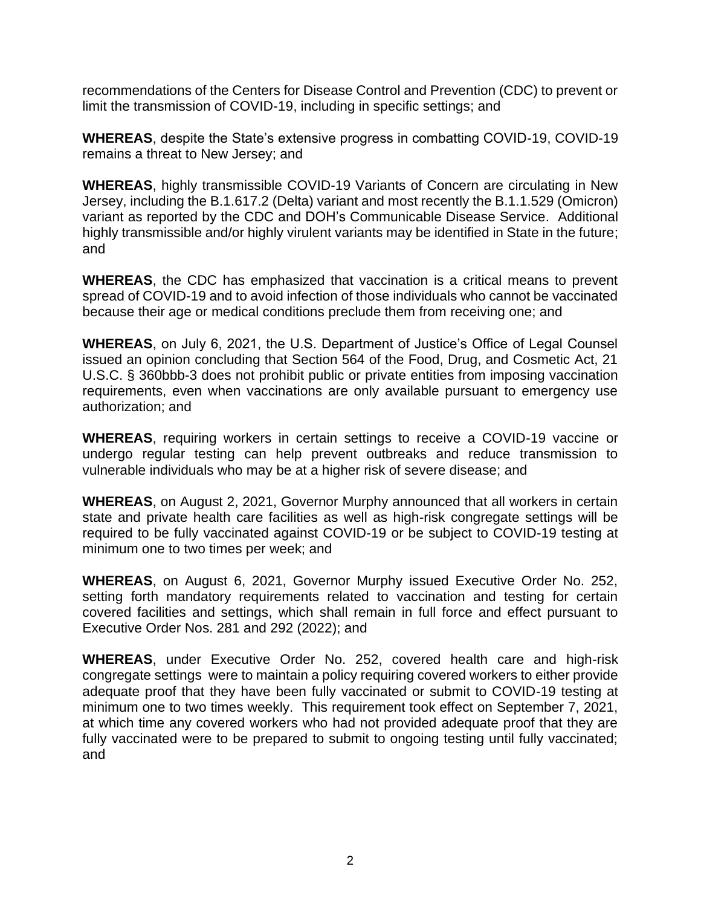recommendations of the Centers for Disease Control and Prevention (CDC) to prevent or limit the transmission of COVID-19, including in specific settings; and

**WHEREAS**, despite the State's extensive progress in combatting COVID-19, COVID-19 remains a threat to New Jersey; and

**WHEREAS**, highly transmissible COVID-19 Variants of Concern are circulating in New Jersey, including the B.1.617.2 (Delta) variant and most recently the B.1.1.529 (Omicron) variant as reported by the CDC and DOH's Communicable Disease Service. Additional highly transmissible and/or highly virulent variants may be identified in State in the future; and

**WHEREAS**, the CDC has emphasized that vaccination is a critical means to prevent spread of COVID-19 and to avoid infection of those individuals who cannot be vaccinated because their age or medical conditions preclude them from receiving one; and

**WHEREAS**, on July 6, 2021, the U.S. Department of Justice's Office of Legal Counsel issued an opinion concluding that Section 564 of the Food, Drug, and Cosmetic Act, 21 U.S.C. § 360bbb-3 does not prohibit public or private entities from imposing vaccination requirements, even when vaccinations are only available pursuant to emergency use authorization; and

**WHEREAS**, requiring workers in certain settings to receive a COVID-19 vaccine or undergo regular testing can help prevent outbreaks and reduce transmission to vulnerable individuals who may be at a higher risk of severe disease; and

**WHEREAS**, on August 2, 2021, Governor Murphy announced that all workers in certain state and private health care facilities as well as high-risk congregate settings will be required to be fully vaccinated against COVID-19 or be subject to COVID-19 testing at minimum one to two times per week; and

**WHEREAS**, on August 6, 2021, Governor Murphy issued Executive Order No. 252, setting forth mandatory requirements related to vaccination and testing for certain covered facilities and settings, which shall remain in full force and effect pursuant to Executive Order Nos. 281 and 292 (2022); and

**WHEREAS**, under Executive Order No. 252, covered health care and high-risk congregate settings were to maintain a policy requiring covered workers to either provide adequate proof that they have been fully vaccinated or submit to COVID-19 testing at minimum one to two times weekly. This requirement took effect on September 7, 2021, at which time any covered workers who had not provided adequate proof that they are fully vaccinated were to be prepared to submit to ongoing testing until fully vaccinated; and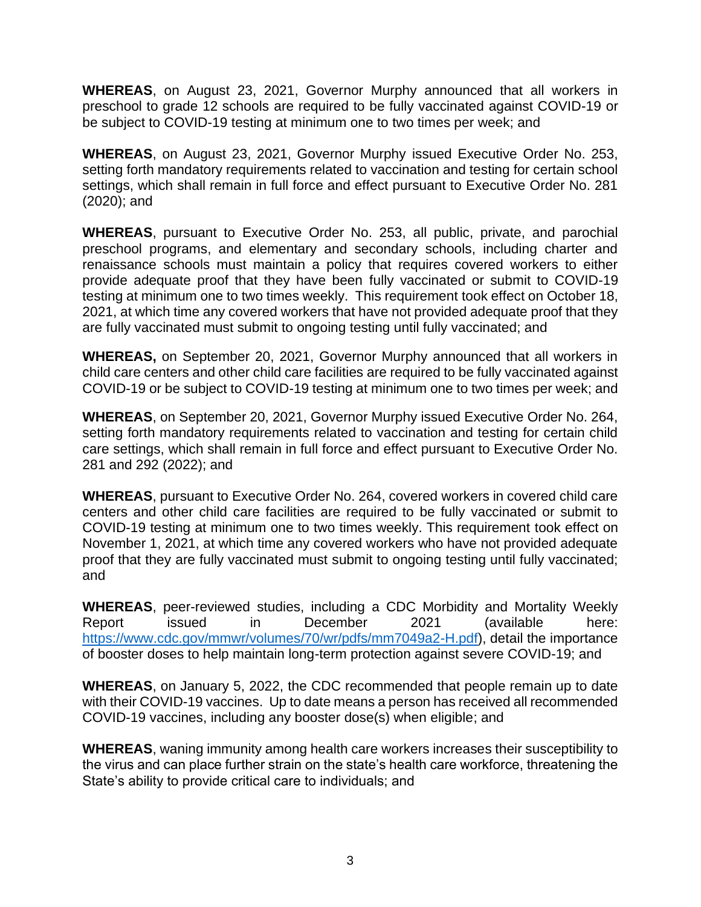**WHEREAS**, on August 23, 2021, Governor Murphy announced that all workers in preschool to grade 12 schools are required to be fully vaccinated against COVID-19 or be subject to COVID-19 testing at minimum one to two times per week; and

**WHEREAS**, on August 23, 2021, Governor Murphy issued Executive Order No. 253, setting forth mandatory requirements related to vaccination and testing for certain school settings, which shall remain in full force and effect pursuant to Executive Order No. 281 (2020); and

**WHEREAS**, pursuant to Executive Order No. 253, all public, private, and parochial preschool programs, and elementary and secondary schools, including charter and renaissance schools must maintain a policy that requires covered workers to either provide adequate proof that they have been fully vaccinated or submit to COVID-19 testing at minimum one to two times weekly. This requirement took effect on October 18, 2021, at which time any covered workers that have not provided adequate proof that they are fully vaccinated must submit to ongoing testing until fully vaccinated; and

**WHEREAS,** on September 20, 2021, Governor Murphy announced that all workers in child care centers and other child care facilities are required to be fully vaccinated against COVID-19 or be subject to COVID-19 testing at minimum one to two times per week; and

**WHEREAS**, on September 20, 2021, Governor Murphy issued Executive Order No. 264, setting forth mandatory requirements related to vaccination and testing for certain child care settings, which shall remain in full force and effect pursuant to Executive Order No. 281 and 292 (2022); and

**WHEREAS**, pursuant to Executive Order No. 264, covered workers in covered child care centers and other child care facilities are required to be fully vaccinated or submit to COVID-19 testing at minimum one to two times weekly. This requirement took effect on November 1, 2021, at which time any covered workers who have not provided adequate proof that they are fully vaccinated must submit to ongoing testing until fully vaccinated; and

**WHEREAS**, peer-reviewed studies, including a CDC Morbidity and Mortality Weekly Report issued in December 2021 (available here: [https://www.cdc.gov/mmwr/volumes/70/wr/pdfs/mm7049a2-H.pdf\)](https://www.cdc.gov/mmwr/volumes/70/wr/pdfs/mm7049a2-H.pdf), detail the importance of booster doses to help maintain long-term protection against severe COVID-19; and

**WHEREAS**, on January 5, 2022, the CDC recommended that people remain up to date with their COVID-19 vaccines. Up to date means a person has received all recommended COVID-19 vaccines, including any booster dose(s) when eligible; and

**WHEREAS**, waning immunity among health care workers increases their susceptibility to the virus and can place further strain on the state's health care workforce, threatening the State's ability to provide critical care to individuals; and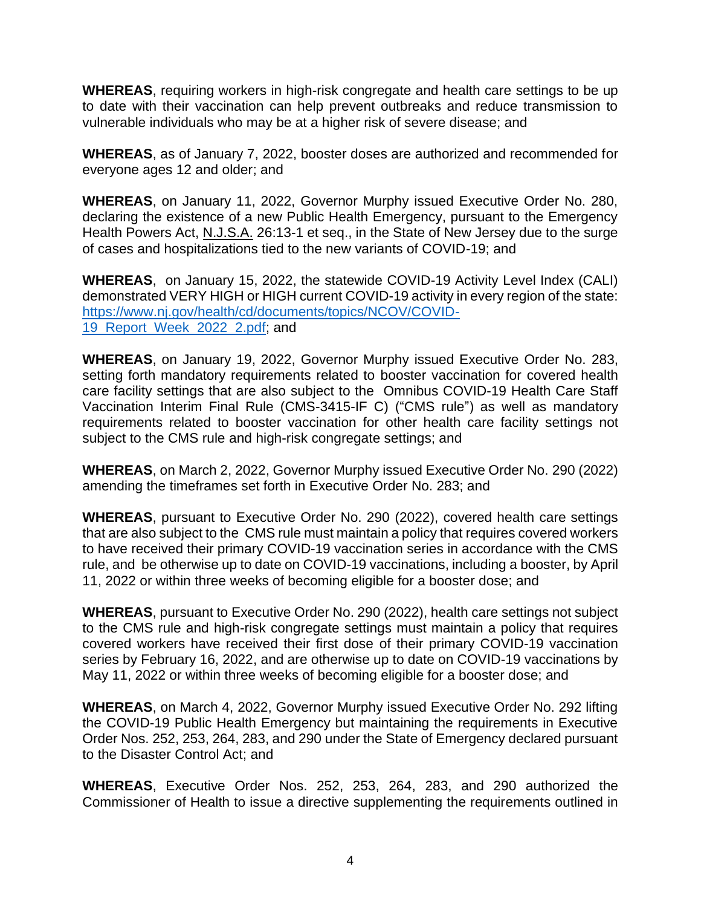**WHEREAS**, requiring workers in high-risk congregate and health care settings to be up to date with their vaccination can help prevent outbreaks and reduce transmission to vulnerable individuals who may be at a higher risk of severe disease; and

**WHEREAS**, as of January 7, 2022, booster doses are authorized and recommended for everyone ages 12 and older; and

**WHEREAS**, on January 11, 2022, Governor Murphy issued Executive Order No. 280, declaring the existence of a new Public Health Emergency, pursuant to the Emergency Health Powers Act, N.J.S.A. 26:13-1 et seq., in the State of New Jersey due to the surge of cases and hospitalizations tied to the new variants of COVID-19; and

**WHEREAS**, on January 15, 2022, the statewide COVID-19 Activity Level Index (CALI) demonstrated VERY HIGH or HIGH current COVID-19 activity in every region of the state: [https://www.nj.gov/health/cd/documents/topics/NCOV/COVID-](https://www.nj.gov/health/cd/documents/topics/NCOV/COVID-19_Report_Week_2022_2.pdf)19 Report Week 2022 2.pdf; and

**WHEREAS**, on January 19, 2022, Governor Murphy issued Executive Order No. 283, setting forth mandatory requirements related to booster vaccination for covered health care facility settings that are also subject to the Omnibus COVID-19 Health Care Staff Vaccination Interim Final Rule (CMS-3415-IF C) ("CMS rule") as well as mandatory requirements related to booster vaccination for other health care facility settings not subject to the CMS rule and high-risk congregate settings; and

**WHEREAS**, on March 2, 2022, Governor Murphy issued Executive Order No. 290 (2022) amending the timeframes set forth in Executive Order No. 283; and

**WHEREAS**, pursuant to Executive Order No. 290 (2022), covered health care settings that are also subject to the CMS rule must maintain a policy that requires covered workers to have received their primary COVID-19 vaccination series in accordance with the CMS rule, and be otherwise up to date on COVID-19 vaccinations, including a booster, by April 11, 2022 or within three weeks of becoming eligible for a booster dose; and

**WHEREAS**, pursuant to Executive Order No. 290 (2022), health care settings not subject to the CMS rule and high-risk congregate settings must maintain a policy that requires covered workers have received their first dose of their primary COVID-19 vaccination series by February 16, 2022, and are otherwise up to date on COVID-19 vaccinations by May 11, 2022 or within three weeks of becoming eligible for a booster dose; and

**WHEREAS**, on March 4, 2022, Governor Murphy issued Executive Order No. 292 lifting the COVID-19 Public Health Emergency but maintaining the requirements in Executive Order Nos. 252, 253, 264, 283, and 290 under the State of Emergency declared pursuant to the Disaster Control Act; and

**WHEREAS**, Executive Order Nos. 252, 253, 264, 283, and 290 authorized the Commissioner of Health to issue a directive supplementing the requirements outlined in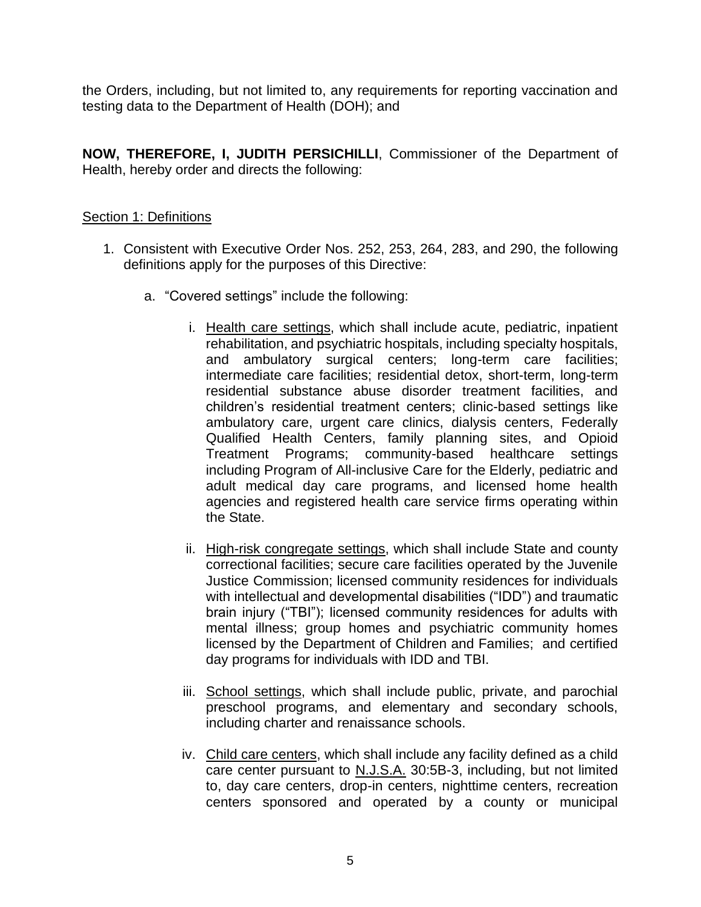the Orders, including, but not limited to, any requirements for reporting vaccination and testing data to the Department of Health (DOH); and

**NOW, THEREFORE, I, JUDITH PERSICHILLI**, Commissioner of the Department of Health, hereby order and directs the following:

## Section 1: Definitions

- 1. Consistent with Executive Order Nos. 252, 253, 264, 283, and 290, the following definitions apply for the purposes of this Directive:
	- a. "Covered settings" include the following:
		- i. Health care settings, which shall include acute, pediatric, inpatient rehabilitation, and psychiatric hospitals, including specialty hospitals, and ambulatory surgical centers; long-term care facilities; intermediate care facilities; residential detox, short-term, long-term residential substance abuse disorder treatment facilities, and children's residential treatment centers; clinic-based settings like ambulatory care, urgent care clinics, dialysis centers, Federally Qualified Health Centers, family planning sites, and Opioid Treatment Programs; community-based healthcare settings including Program of All-inclusive Care for the Elderly, pediatric and adult medical day care programs, and licensed home health agencies and registered health care service firms operating within the State.
		- ii. High-risk congregate settings, which shall include State and county correctional facilities; secure care facilities operated by the Juvenile Justice Commission; licensed community residences for individuals with intellectual and developmental disabilities ("IDD") and traumatic brain injury ("TBI"); licensed community residences for adults with mental illness; group homes and psychiatric community homes licensed by the Department of Children and Families; and certified day programs for individuals with IDD and TBI.
		- iii. School settings, which shall include public, private, and parochial preschool programs, and elementary and secondary schools, including charter and renaissance schools.
		- iv. Child care centers, which shall include any facility defined as a child care center pursuant to N.J.S.A. 30:5B-3, including, but not limited to, day care centers, drop-in centers, nighttime centers, recreation centers sponsored and operated by a county or municipal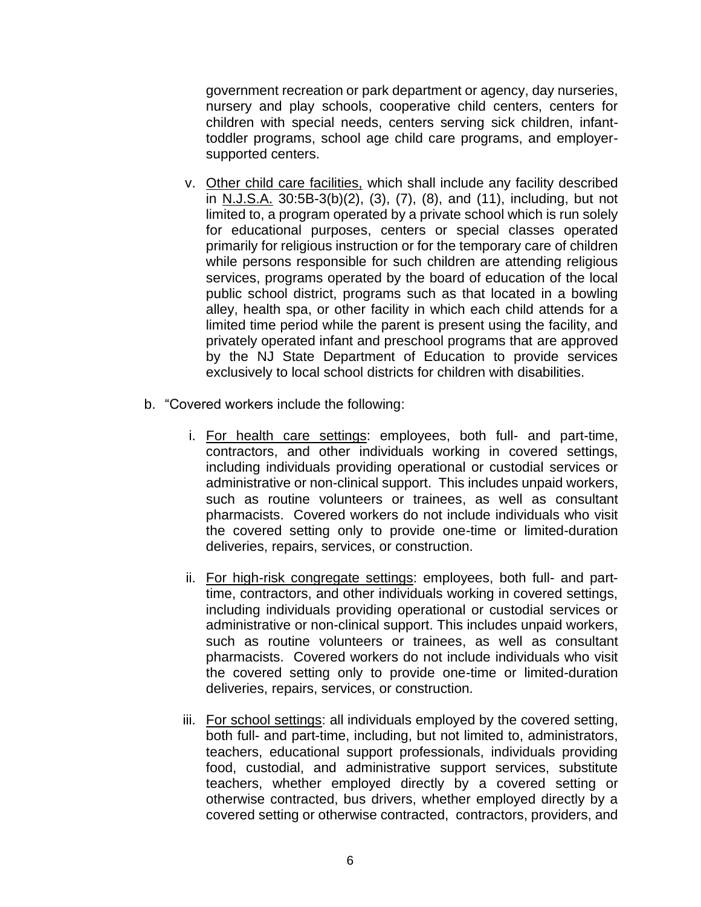government recreation or park department or agency, day nurseries, nursery and play schools, cooperative child centers, centers for children with special needs, centers serving sick children, infanttoddler programs, school age child care programs, and employersupported centers.

- v. Other child care facilities, which shall include any facility described in N.J.S.A.  $30:5B-3(b)(2)$ ,  $(3)$ ,  $(7)$ ,  $(8)$ , and  $(11)$ , including, but not limited to, a program operated by a private school which is run solely for educational purposes, centers or special classes operated primarily for religious instruction or for the temporary care of children while persons responsible for such children are attending religious services, programs operated by the board of education of the local public school district, programs such as that located in a bowling alley, health spa, or other facility in which each child attends for a limited time period while the parent is present using the facility, and privately operated infant and preschool programs that are approved by the NJ State Department of Education to provide services exclusively to local school districts for children with disabilities.
- b. "Covered workers include the following:
	- i. For health care settings: employees, both full- and part-time, contractors, and other individuals working in covered settings, including individuals providing operational or custodial services or administrative or non-clinical support. This includes unpaid workers, such as routine volunteers or trainees, as well as consultant pharmacists. Covered workers do not include individuals who visit the covered setting only to provide one-time or limited-duration deliveries, repairs, services, or construction.
	- ii. For high-risk congregate settings: employees, both full- and parttime, contractors, and other individuals working in covered settings, including individuals providing operational or custodial services or administrative or non-clinical support. This includes unpaid workers, such as routine volunteers or trainees, as well as consultant pharmacists. Covered workers do not include individuals who visit the covered setting only to provide one-time or limited-duration deliveries, repairs, services, or construction.
	- iii. For school settings: all individuals employed by the covered setting, both full- and part-time, including, but not limited to, administrators, teachers, educational support professionals, individuals providing food, custodial, and administrative support services, substitute teachers, whether employed directly by a covered setting or otherwise contracted, bus drivers, whether employed directly by a covered setting or otherwise contracted, contractors, providers, and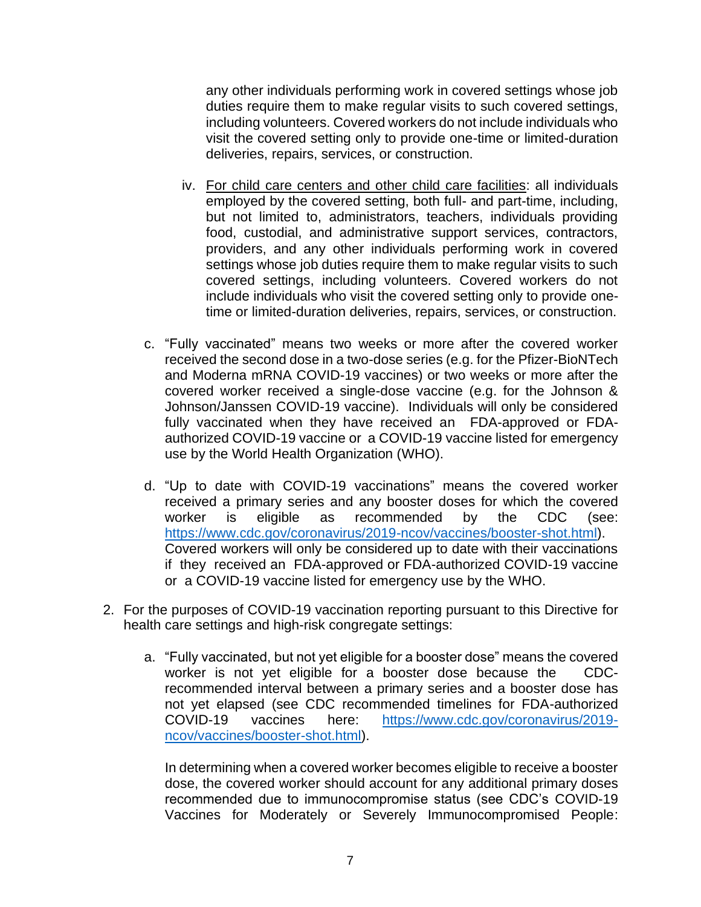any other individuals performing work in covered settings whose job duties require them to make regular visits to such covered settings, including volunteers. Covered workers do not include individuals who visit the covered setting only to provide one-time or limited-duration deliveries, repairs, services, or construction.

- iv. For child care centers and other child care facilities: all individuals employed by the covered setting, both full- and part-time, including, but not limited to, administrators, teachers, individuals providing food, custodial, and administrative support services, contractors, providers, and any other individuals performing work in covered settings whose job duties require them to make regular visits to such covered settings, including volunteers. Covered workers do not include individuals who visit the covered setting only to provide onetime or limited-duration deliveries, repairs, services, or construction.
- c. "Fully vaccinated" means two weeks or more after the covered worker received the second dose in a two-dose series (e.g. for the Pfizer-BioNTech and Moderna mRNA COVID-19 vaccines) or two weeks or more after the covered worker received a single-dose vaccine (e.g. for the Johnson & Johnson/Janssen COVID-19 vaccine). Individuals will only be considered fully vaccinated when they have received an FDA-approved or FDAauthorized COVID-19 vaccine or a COVID-19 vaccine listed for emergency use by the World Health Organization (WHO).
- d. "Up to date with COVID-19 vaccinations" means the covered worker received a primary series and any booster doses for which the covered worker is eligible as recommended by the CDC (see: [https://www.cdc.gov/coronavirus/2019-ncov/vaccines/booster-shot.html\)](https://www.cdc.gov/coronavirus/2019-ncov/vaccines/booster-shot.html). Covered workers will only be considered up to date with their vaccinations if they received an FDA-approved or FDA-authorized COVID-19 vaccine or a COVID-19 vaccine listed for emergency use by the WHO.
- 2. For the purposes of COVID-19 vaccination reporting pursuant to this Directive for health care settings and high-risk congregate settings:
	- a. "Fully vaccinated, but not yet eligible for a booster dose" means the covered worker is not yet eligible for a booster dose because the CDCrecommended interval between a primary series and a booster dose has not yet elapsed (see CDC recommended timelines for FDA-authorized COVID-19 vaccines here: [https://www.cdc.gov/coronavirus/2019](https://www.cdc.gov/coronavirus/2019-ncov/vaccines/booster-shot.html) [ncov/vaccines/booster-shot.html\)](https://www.cdc.gov/coronavirus/2019-ncov/vaccines/booster-shot.html).

In determining when a covered worker becomes eligible to receive a booster dose, the covered worker should account for any additional primary doses recommended due to immunocompromise status (see CDC's COVID-19 Vaccines for Moderately or Severely Immunocompromised People: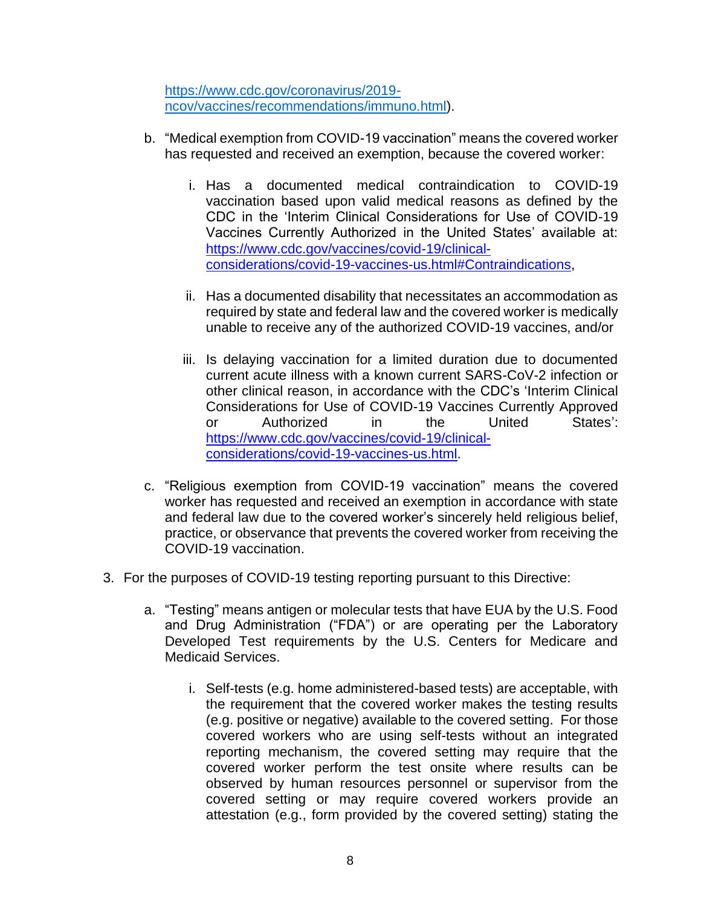[https://www.cdc.gov/coronavirus/2019](https://www.cdc.gov/coronavirus/2019-ncov/vaccines/recommendations/immuno.html) [ncov/vaccines/recommendations/immuno.html\)](https://www.cdc.gov/coronavirus/2019-ncov/vaccines/recommendations/immuno.html).

- b. "Medical exemption from COVID-19 vaccination" means the covered worker has requested and received an exemption, because the covered worker:
	- i. Has a documented medical contraindication to COVID-19 vaccination based upon valid medical reasons as defined by the CDC in the 'Interim Clinical Considerations for Use of COVID-19 Vaccines Currently Authorized in the United States' available at: [https://www.cdc.gov/vaccines/covid-19/clinical](https://www.cdc.gov/vaccines/covid-19/clinical-considerations/covid-19-vaccines-us.html#Contraindications)[considerations/covid-19-vaccines-us.html#Contraindications,](https://www.cdc.gov/vaccines/covid-19/clinical-considerations/covid-19-vaccines-us.html#Contraindications)
	- ii. Has a documented disability that necessitates an accommodation as required by state and federal law and the covered worker is medically unable to receive any of the authorized COVID-19 vaccines, and/or
	- iii. Is delaying vaccination for a limited duration due to documented current acute illness with a known current SARS-CoV-2 infection or other clinical reason, in accordance with the CDC's 'Interim Clinical Considerations for Use of COVID-19 Vaccines Currently Approved or Authorized in the United States': [https://www.cdc.gov/vaccines/covid-](https://www.cdc.gov/vaccines/covid-19/clinical-considerations/covid-19-vaccines-us.html)19/clinicalconsiderations/covid-19-vaccines-us.html.
- c. "Religious exemption from COVID-19 vaccination" means the covered worker has requested and received an exemption in accordance with state and federal law due to the covered worker's sincerely held religious belief, practice, or observance that prevents the covered worker from receiving the COVID-19 vaccination.
- 3. For the purposes of COVID-19 testing reporting pursuant to this Directive:
	- a. "Testing" means antigen or molecular tests that have EUA by the U.S. Food and Drug Administration ("FDA") or are operating per the Laboratory Developed Test requirements by the U.S. Centers for Medicare and Medicaid Services.
		- i. Self-tests (e.g. home administered-based tests) are acceptable, with the requirement that the covered worker makes the testing results (e.g. positive or negative) available to the covered setting. For those covered workers who are using self-tests without an integrated reporting mechanism, the covered setting may require that the covered worker perform the test onsite where results can be observed by human resources personnel or supervisor from the covered setting or may require covered workers provide an attestation (e.g., form provided by the covered setting) stating the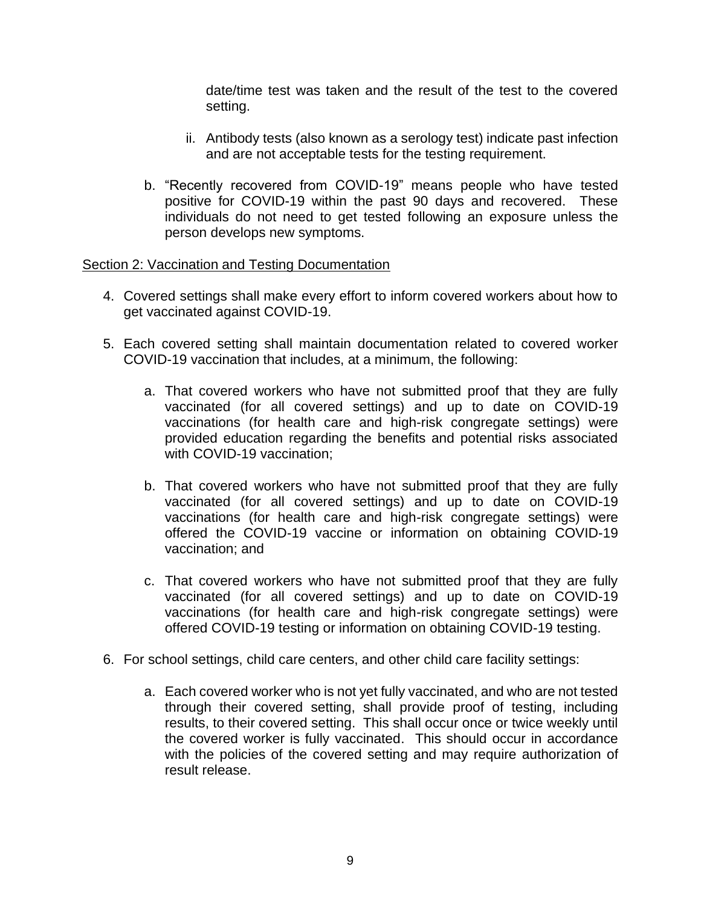date/time test was taken and the result of the test to the covered setting.

- ii. Antibody tests (also known as a serology test) indicate past infection and are not acceptable tests for the testing requirement.
- b. "Recently recovered from COVID-19" means people who have tested positive for COVID-19 within the past 90 days and recovered. These individuals do not need to get tested following an exposure unless the person develops new symptoms.

#### Section 2: Vaccination and Testing Documentation

- 4. Covered settings shall make every effort to inform covered workers about how to get vaccinated against COVID-19.
- 5. Each covered setting shall maintain documentation related to covered worker COVID-19 vaccination that includes, at a minimum, the following:
	- a. That covered workers who have not submitted proof that they are fully vaccinated (for all covered settings) and up to date on COVID-19 vaccinations (for health care and high-risk congregate settings) were provided education regarding the benefits and potential risks associated with COVID-19 vaccination;
	- b. That covered workers who have not submitted proof that they are fully vaccinated (for all covered settings) and up to date on COVID-19 vaccinations (for health care and high-risk congregate settings) were offered the COVID-19 vaccine or information on obtaining COVID-19 vaccination; and
	- c. That covered workers who have not submitted proof that they are fully vaccinated (for all covered settings) and up to date on COVID-19 vaccinations (for health care and high-risk congregate settings) were offered COVID-19 testing or information on obtaining COVID-19 testing.
- 6. For school settings, child care centers, and other child care facility settings:
	- a. Each covered worker who is not yet fully vaccinated, and who are not tested through their covered setting, shall provide proof of testing, including results, to their covered setting. This shall occur once or twice weekly until the covered worker is fully vaccinated. This should occur in accordance with the policies of the covered setting and may require authorization of result release.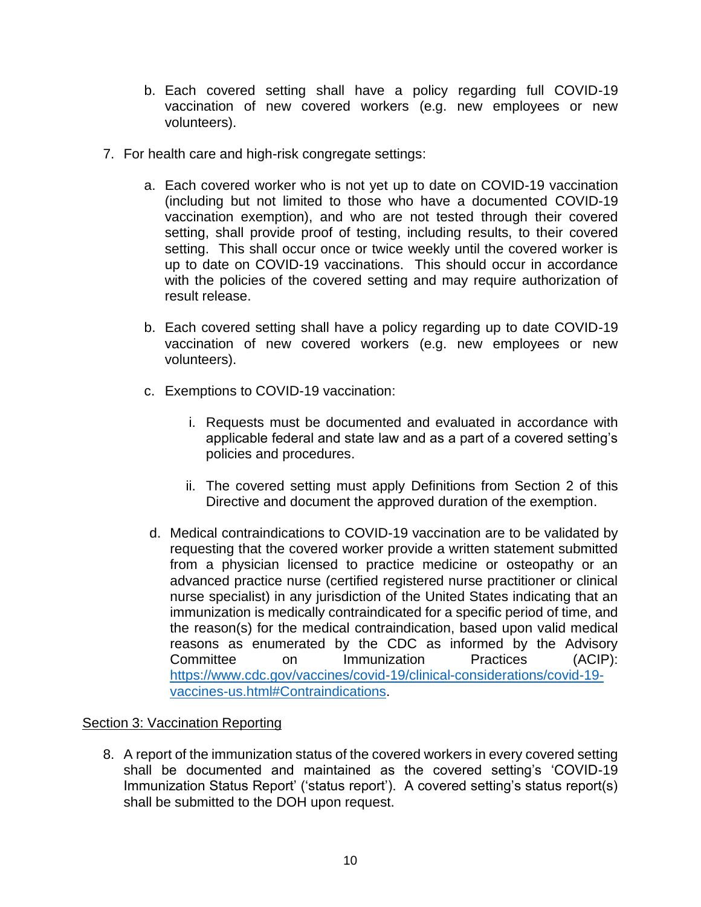- b. Each covered setting shall have a policy regarding full COVID-19 vaccination of new covered workers (e.g. new employees or new volunteers).
- 7. For health care and high-risk congregate settings:
	- a. Each covered worker who is not yet up to date on COVID-19 vaccination (including but not limited to those who have a documented COVID-19 vaccination exemption), and who are not tested through their covered setting, shall provide proof of testing, including results, to their covered setting. This shall occur once or twice weekly until the covered worker is up to date on COVID-19 vaccinations. This should occur in accordance with the policies of the covered setting and may require authorization of result release.
	- b. Each covered setting shall have a policy regarding up to date COVID-19 vaccination of new covered workers (e.g. new employees or new volunteers).
	- c. Exemptions to COVID-19 vaccination:
		- i. Requests must be documented and evaluated in accordance with applicable federal and state law and as a part of a covered setting's policies and procedures.
		- ii. The covered setting must apply Definitions from Section 2 of this Directive and document the approved duration of the exemption.
	- d. Medical contraindications to COVID-19 vaccination are to be validated by requesting that the covered worker provide a written statement submitted from a physician licensed to practice medicine or osteopathy or an advanced practice nurse (certified registered nurse practitioner or clinical nurse specialist) in any jurisdiction of the United States indicating that an immunization is medically contraindicated for a specific period of time, and the reason(s) for the medical contraindication, based upon valid medical reasons as enumerated by the CDC as informed by the Advisory Committee on Immunization Practices (ACIP): [https://www.cdc.gov/vaccines/covid-19/clinical-considerations/covid-19](https://www.cdc.gov/vaccines/covid-19/clinical-considerations/covid-19-vaccines-us.html#Contraindications) [vaccines-us.html#Contraindications.](https://www.cdc.gov/vaccines/covid-19/clinical-considerations/covid-19-vaccines-us.html#Contraindications)

## Section 3: Vaccination Reporting

8. A report of the immunization status of the covered workers in every covered setting shall be documented and maintained as the covered setting's 'COVID-19 Immunization Status Report' ('status report'). A covered setting's status report(s) shall be submitted to the DOH upon request.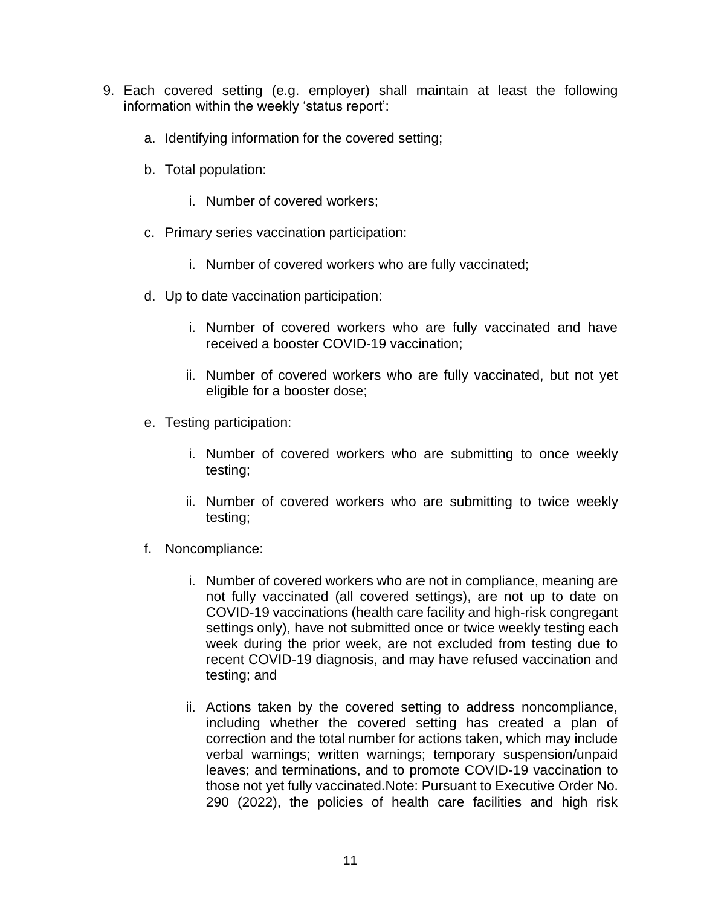- 9. Each covered setting (e.g. employer) shall maintain at least the following information within the weekly 'status report':
	- a. Identifying information for the covered setting;
	- b. Total population:
		- i. Number of covered workers;
	- c. Primary series vaccination participation:
		- i. Number of covered workers who are fully vaccinated;
	- d. Up to date vaccination participation:
		- i. Number of covered workers who are fully vaccinated and have received a booster COVID-19 vaccination;
		- ii. Number of covered workers who are fully vaccinated, but not yet eligible for a booster dose;
	- e. Testing participation:
		- i. Number of covered workers who are submitting to once weekly testing;
		- ii. Number of covered workers who are submitting to twice weekly testing;
	- f. Noncompliance:
		- i. Number of covered workers who are not in compliance, meaning are not fully vaccinated (all covered settings), are not up to date on COVID-19 vaccinations (health care facility and high-risk congregant settings only), have not submitted once or twice weekly testing each week during the prior week, are not excluded from testing due to recent COVID-19 diagnosis, and may have refused vaccination and testing; and
		- ii. Actions taken by the covered setting to address noncompliance, including whether the covered setting has created a plan of correction and the total number for actions taken, which may include verbal warnings; written warnings; temporary suspension/unpaid leaves; and terminations, and to promote COVID-19 vaccination to those not yet fully vaccinated.Note: Pursuant to Executive Order No. 290 (2022), the policies of health care facilities and high risk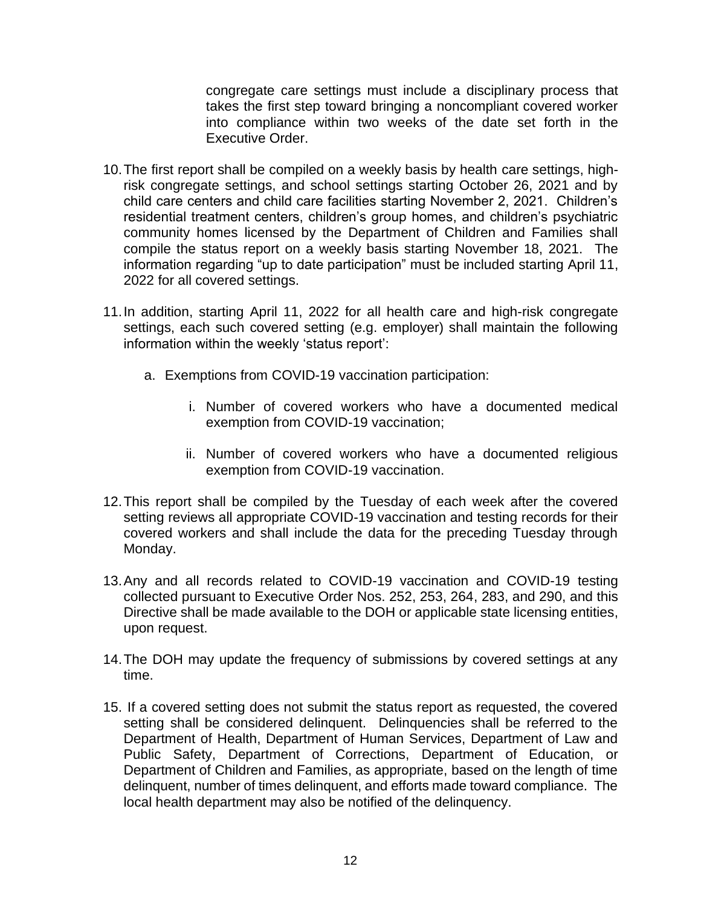congregate care settings must include a disciplinary process that takes the first step toward bringing a noncompliant covered worker into compliance within two weeks of the date set forth in the Executive Order.

- 10.The first report shall be compiled on a weekly basis by health care settings, highrisk congregate settings, and school settings starting October 26, 2021 and by child care centers and child care facilities starting November 2, 2021. Children's residential treatment centers, children's group homes, and children's psychiatric community homes licensed by the Department of Children and Families shall compile the status report on a weekly basis starting November 18, 2021. The information regarding "up to date participation" must be included starting April 11, 2022 for all covered settings.
- 11.In addition, starting April 11, 2022 for all health care and high-risk congregate settings, each such covered setting (e.g. employer) shall maintain the following information within the weekly 'status report':
	- a. Exemptions from COVID-19 vaccination participation:
		- i. Number of covered workers who have a documented medical exemption from COVID-19 vaccination;
		- ii. Number of covered workers who have a documented religious exemption from COVID-19 vaccination.
- 12.This report shall be compiled by the Tuesday of each week after the covered setting reviews all appropriate COVID-19 vaccination and testing records for their covered workers and shall include the data for the preceding Tuesday through Monday.
- 13.Any and all records related to COVID-19 vaccination and COVID-19 testing collected pursuant to Executive Order Nos. 252, 253, 264, 283, and 290, and this Directive shall be made available to the DOH or applicable state licensing entities, upon request.
- 14.The DOH may update the frequency of submissions by covered settings at any time.
- 15. If a covered setting does not submit the status report as requested, the covered setting shall be considered delinquent. Delinquencies shall be referred to the Department of Health, Department of Human Services, Department of Law and Public Safety, Department of Corrections, Department of Education, or Department of Children and Families, as appropriate, based on the length of time delinquent, number of times delinquent, and efforts made toward compliance. The local health department may also be notified of the delinquency.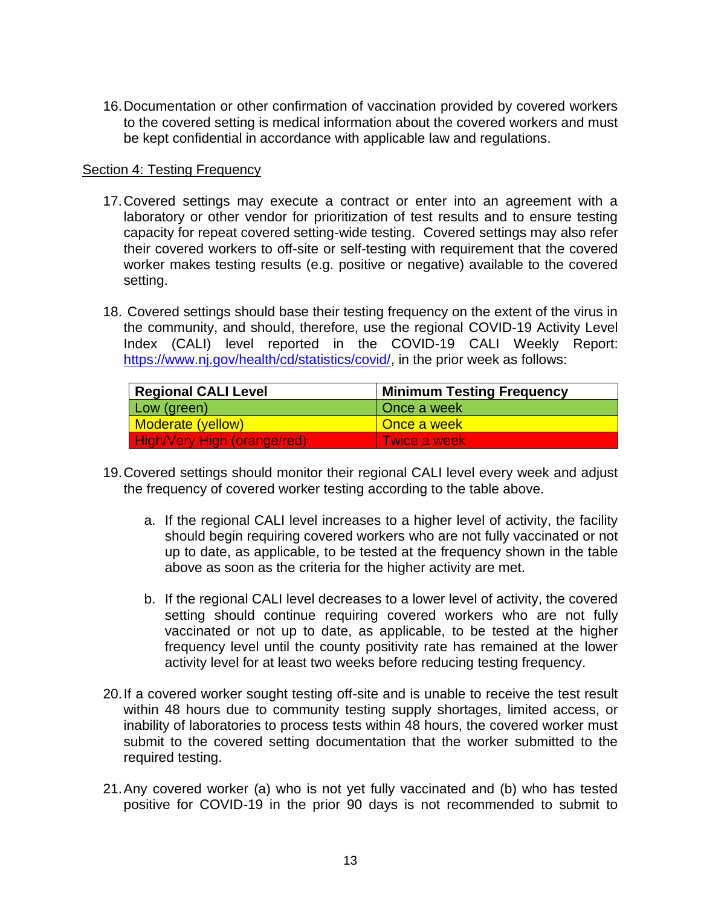16.Documentation or other confirmation of vaccination provided by covered workers to the covered setting is medical information about the covered workers and must be kept confidential in accordance with applicable law and regulations.

#### **Section 4: Testing Frequency**

- 17.Covered settings may execute a contract or enter into an agreement with a laboratory or other vendor for prioritization of test results and to ensure testing capacity for repeat covered setting-wide testing. Covered settings may also refer their covered workers to off-site or self-testing with requirement that the covered worker makes testing results (e.g. positive or negative) available to the covered setting.
- 18. Covered settings should base their testing frequency on the extent of the virus in the community, and should, therefore, use the regional COVID-19 Activity Level Index (CALI) level reported in the COVID-19 CALI Weekly Report: [https://www.nj.gov/health/cd/statistics/covid/,](https://www.nj.gov/health/cd/statistics/covid/) in the prior week as follows:

| <b>Regional CALI Level</b>         | <b>Minimum Testing Frequency</b> |
|------------------------------------|----------------------------------|
| Low (green)                        | Once a week                      |
| <b>Moderate (yellow)</b>           | Once a week                      |
| <b>High/Very High (orange/red)</b> | l Twice a week.                  |

- 19.Covered settings should monitor their regional CALI level every week and adjust the frequency of covered worker testing according to the table above.
	- a. If the regional CALI level increases to a higher level of activity, the facility should begin requiring covered workers who are not fully vaccinated or not up to date, as applicable, to be tested at the frequency shown in the table above as soon as the criteria for the higher activity are met.
	- b. If the regional CALI level decreases to a lower level of activity, the covered setting should continue requiring covered workers who are not fully vaccinated or not up to date, as applicable, to be tested at the higher frequency level until the county positivity rate has remained at the lower activity level for at least two weeks before reducing testing frequency.
- 20.If a covered worker sought testing off-site and is unable to receive the test result within 48 hours due to community testing supply shortages, limited access, or inability of laboratories to process tests within 48 hours, the covered worker must submit to the covered setting documentation that the worker submitted to the required testing.
- 21.Any covered worker (a) who is not yet fully vaccinated and (b) who has tested positive for COVID-19 in the prior 90 days is not recommended to submit to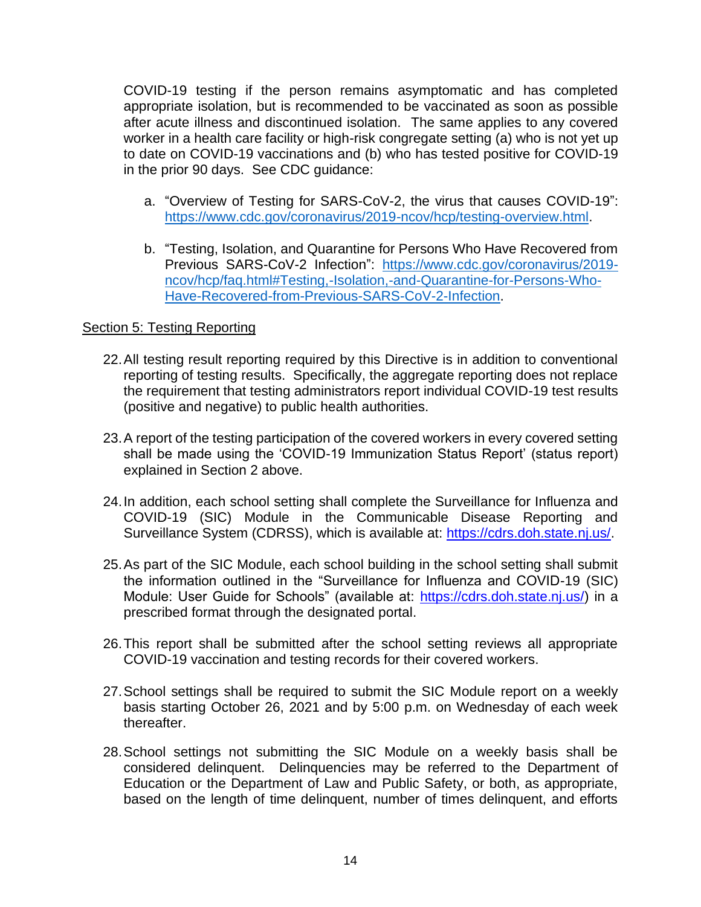COVID-19 testing if the person remains asymptomatic and has completed appropriate isolation, but is recommended to be vaccinated as soon as possible after acute illness and discontinued isolation. The same applies to any covered worker in a health care facility or high-risk congregate setting (a) who is not yet up to date on COVID-19 vaccinations and (b) who has tested positive for COVID-19 in the prior 90 days. See CDC guidance:

- a. "Overview of Testing for SARS-CoV-2, the virus that causes COVID-19": [https://www.cdc.gov/coronavirus/2019-ncov/hcp/testing-overview.html.](https://www.cdc.gov/coronavirus/2019-ncov/hcp/testing-overview.html)
- b. "Testing, Isolation, and Quarantine for Persons Who Have Recovered from Previous SARS-CoV-2 Infection": [https://www.cdc.gov/coronavirus/2019](https://www.cdc.gov/coronavirus/2019-ncov/hcp/faq.html#Testing,-Isolation,-and-Quarantine-for-Persons-Who-Have-Recovered-from-Previous-SARS-CoV-2-Infection) [ncov/hcp/faq.html#Testing,-Isolation,-and-Quarantine-for-Persons-Who-](https://www.cdc.gov/coronavirus/2019-ncov/hcp/faq.html#Testing,-Isolation,-and-Quarantine-for-Persons-Who-Have-Recovered-from-Previous-SARS-CoV-2-Infection)[Have-Recovered-from-Previous-SARS-CoV-2-Infection.](https://www.cdc.gov/coronavirus/2019-ncov/hcp/faq.html#Testing,-Isolation,-and-Quarantine-for-Persons-Who-Have-Recovered-from-Previous-SARS-CoV-2-Infection)

## Section 5: Testing Reporting

- 22.All testing result reporting required by this Directive is in addition to conventional reporting of testing results. Specifically, the aggregate reporting does not replace the requirement that testing administrators report individual COVID-19 test results (positive and negative) to public health authorities.
- 23.A report of the testing participation of the covered workers in every covered setting shall be made using the 'COVID-19 Immunization Status Report' (status report) explained in Section 2 above.
- 24.In addition, each school setting shall complete the Surveillance for Influenza and COVID-19 (SIC) Module in the Communicable Disease Reporting and Surveillance System (CDRSS), which is available at: [https://cdrs.doh.state.nj.us/.](https://cdrs.doh.state.nj.us/)
- 25.As part of the SIC Module, each school building in the school setting shall submit the information outlined in the "Surveillance for Influenza and COVID-19 (SIC) Module: User Guide for Schools" (available at: [https://cdrs.doh.state.nj.us/\)](https://cdrs.doh.state.nj.us/) in a prescribed format through the designated portal.
- 26.This report shall be submitted after the school setting reviews all appropriate COVID-19 vaccination and testing records for their covered workers.
- 27.School settings shall be required to submit the SIC Module report on a weekly basis starting October 26, 2021 and by 5:00 p.m. on Wednesday of each week thereafter.
- 28.School settings not submitting the SIC Module on a weekly basis shall be considered delinquent. Delinquencies may be referred to the Department of Education or the Department of Law and Public Safety, or both, as appropriate, based on the length of time delinquent, number of times delinquent, and efforts